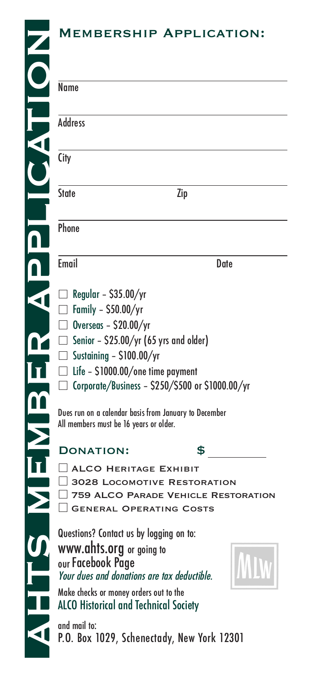#### Membership Application:

| Name                                                                                                                                                                                                                                                                           |                                           |
|--------------------------------------------------------------------------------------------------------------------------------------------------------------------------------------------------------------------------------------------------------------------------------|-------------------------------------------|
| <b>Address</b>                                                                                                                                                                                                                                                                 |                                           |
| City                                                                                                                                                                                                                                                                           |                                           |
| State                                                                                                                                                                                                                                                                          | Zip                                       |
| Phone                                                                                                                                                                                                                                                                          |                                           |
| Email                                                                                                                                                                                                                                                                          | Date                                      |
| Regular - $$35.00/yr$<br>$\Box$ Family - \$50.00/yr<br>$\Box$ Overseas - \$20.00/yr<br>$\Box$ Senior - \$25.00/yr (65 yrs and older)<br>$\Box$ Sustaining - \$100.00/yr<br>$\Box$ Life - \$1000.00/one time payment<br>$\Box$ Corporate/Business - \$250/\$500 or \$1000.00/yr |                                           |
| Dues run on a calendar basis from January to December<br>All members must be 16 years or older.                                                                                                                                                                                |                                           |
| <b>DONATION:</b><br>ALCO HERITAGE EXHIBIT<br>3028 LOCOMOTIVE RESTORATION<br><b>GENERAL OPERATING COSTS</b>                                                                                                                                                                     | \$<br>759 ALCO PARADE VEHICLE RESTORATION |
| Questions? Contact us by logging on to:<br>www.ahts.org or going to<br>our Facebook Page<br>Your dues and donations are tax deductible.<br>Make checks or money orders out to the<br><b>ALCO Historical and Technical Society</b>                                              |                                           |

and mail to:<br>P.O. Box 1029, Schenectady, New York 12301